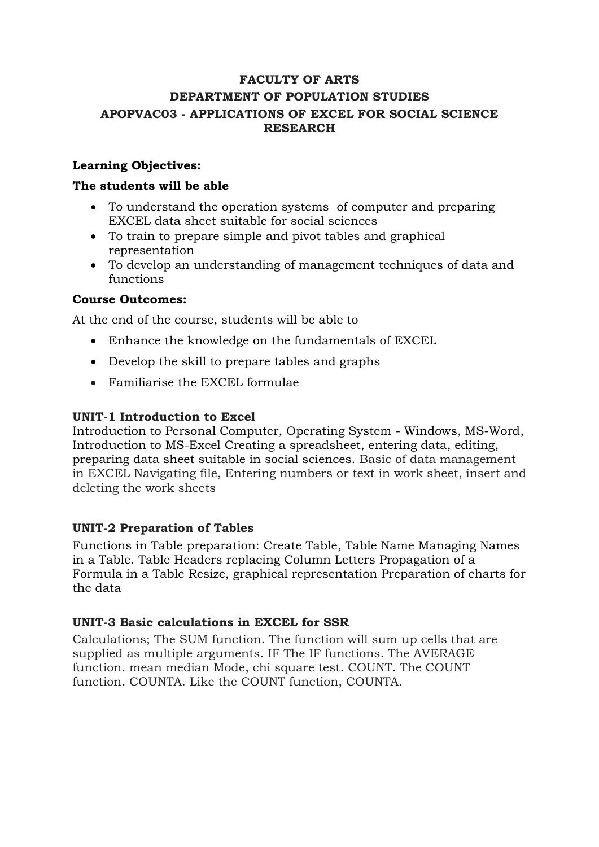# **FACULTY OF ARTS DEPARTMENT OF POPULATION STUDIES APOPVAC03 - APPLICATIONS OF EXCEL FOR SOCIAL SCIENCE RESEARCH**

# **Learning Objectives:**

### **The students will be able**

- To understand the operation systems of computer and preparing EXCEL data sheet suitable for social sciences
- To train to prepare simple and pivot tables and graphical representation
- To develop an understanding of management techniques of data and functions

#### **Course Outcomes:**

At the end of the course, students will be able to

- Enhance the knowledge on the fundamentals of EXCEL
- Develop the skill to prepare tables and graphs
- Familiarise the EXCEL formulae

### **UNIT-1 Introduction to Excel**

Introduction to Personal Computer, Operating System - Windows, MS-Word, Introduction to MS-Excel Creating a spreadsheet, entering data, editing, preparing data sheet suitable in social sciences. Basic of data management in EXCEL Navigating file, Entering numbers or text in work sheet, insert and deleting the work sheets

#### **UNIT-2 Preparation of Tables**

Functions in Table preparation: Create Table, Table Name Managing Names in a Table. Table Headers replacing Column Letters Propagation of a Formula in a Table Resize, graphical representation Preparation of charts for the data

#### **UNIT-3 Basic calculations in EXCEL for SSR**

Calculations; The SUM function. The function will sum up cells that are supplied as multiple arguments. IF The IF functions. The AVERAGE function. mean median Mode, chi square test. COUNT. The COUNT function. COUNTA. Like the COUNT function, COUNTA.